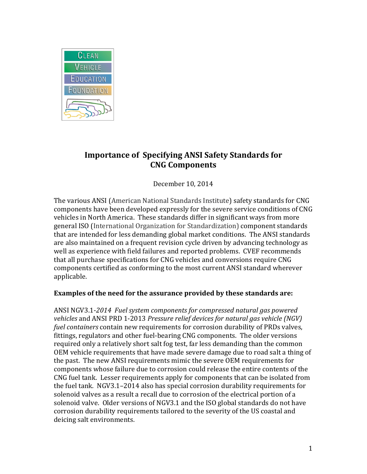

## **Importance of Specifying ANSI Safety Standards for CNG Components**

December 10, 2014

The various ANSI (American National Standards Institute) safety standards for CNG components have been developed expressly for the severe service conditions of CNG vehicles in North America. These standards differ in significant ways from more general ISO (International Organization for Standardization) component standards that are intended for less demanding global market conditions. The ANSI standards are also maintained on a frequent revision cycle driven by advancing technology as well as experience with field failures and reported problems. CVEF recommends that all purchase specifications for CNG vehicles and conversions require CNG components certified as conforming to the most current ANSI standard wherever applicable.

## **Examples of the need for the assurance provided by these standards are:**

ANSI NGV3.1-*2014 Fuel system components for compressed natural gas powered vehicles* and ANSI PRD 1-2013 *Pressure relief devices for natural gas vehicle (NGV) fuel containers* contain new requirements for corrosion durability of PRDs valves, fittings, regulators and other fuel-bearing CNG components. The older versions required only a relatively short salt fog test, far less demanding than the common OEM vehicle requirements that have made severe damage due to road salt a thing of the past. The new ANSI requirements mimic the severe OEM requirements for components whose failure due to corrosion could release the entire contents of the CNG fuel tank. Lesser requirements apply for components that can be isolated from the fuel tank. NGV3.1–2014 also has special corrosion durability requirements for solenoid valves as a result a recall due to corrosion of the electrical portion of a solenoid valve. Older versions of NGV3.1 and the ISO global standards do not have corrosion durability requirements tailored to the severity of the US coastal and deicing salt environments.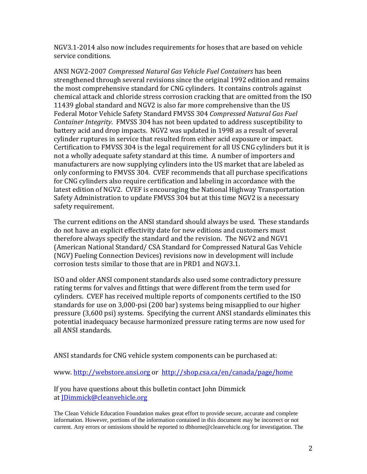NGV3.1-2014 also now includes requirements for hoses that are based on vehicle service conditions.

ANSI NGV2-2007 *Compressed Natural Gas Vehicle Fuel Containers* has been strengthened through several revisions since the original 1992 edition and remains the most comprehensive standard for CNG cylinders. It contains controls against chemical attack and chloride stress corrosion cracking that are omitted from the ISO 11439 global standard and NGV2 is also far more comprehensive than the US Federal Motor Vehicle Safety Standard FMVSS 304 *Compressed Natural Gas Fuel Container Integrity*. FMVSS 304 has not been updated to address susceptibility to battery acid and drop impacts. NGV2 was updated in 1998 as a result of several cylinder ruptures in service that resulted from either acid exposure or impact. Certification to FMVSS 304 is the legal requirement for all US CNG cylinders but it is not a wholly adequate safety standard at this time. A number of importers and manufacturers are now supplying cylinders into the US market that are labeled as only conforming to FMVSS 304. CVEF recommends that all purchase specifications for CNG cylinders also require certification and labeling in accordance with the latest edition of NGV2. CVEF is encouraging the National Highway Transportation Safety Administration to update FMVSS 304 but at this time NGV2 is a necessary safety requirement.

The current editions on the ANSI standard should always be used. These standards do not have an explicit effectivity date for new editions and customers must therefore always specify the standard and the revision. The NGV2 and NGV1 (American National Standard/ CSA Standard for Compressed Natural Gas Vehicle (NGV) Fueling Connection Devices) revisions now in development will include corrosion tests similar to those that are in PRD1 and NGV3.1.

ISO and older ANSI component standards also used some contradictory pressure rating terms for valves and fittings that were different from the term used for cylinders. CVEF has received multiple reports of components certified to the ISO standards for use on 3,000-psi (200 bar) systems being misapplied to our higher pressure (3,600 psi) systems. Specifying the current ANSI standards eliminates this potential inadequacy because harmonized pressure rating terms are now used for all ANSI standards.

ANSI standards for CNG vehicle system components can be purchased at:

www. [http://webstore.ansi.org](http://webstore.ansi.org/) or <http://shop.csa.ca/en/canada/page/home>

If you have questions about this bulletin contact John Dimmick at [JDimmick@cleanvehicle.org](mailto:JDimmick@cleanvehicle.org)

The Clean Vehicle Education Foundation makes great effort to provide secure, accurate and complete information. However, portions of the information contained in this document may be incorrect or not current. Any errors or omissions should be reported to dbhorne@cleanvehicle.org for investigation. The